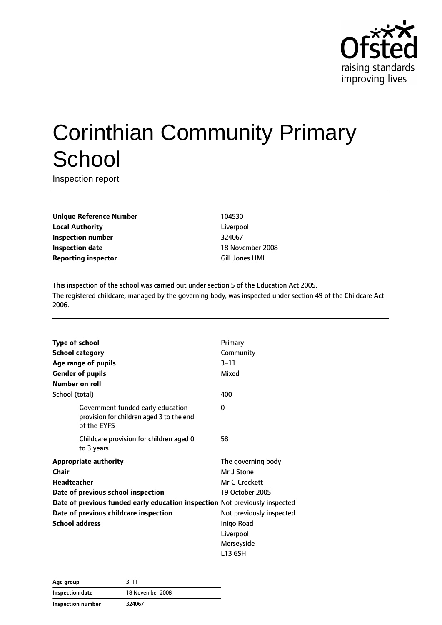

# Corinthian Community Primary **School**

Inspection report

**Unique Reference Number** 104530 **Local Authority** Liverpool **Inspection number** 324067 **Inspection date** 18 November 2008 **Reporting inspector** Gill Jones HMI

This inspection of the school was carried out under section 5 of the Education Act 2005. The registered childcare, managed by the governing body, was inspected under section 49 of the Childcare Act 2006.

| <b>Type of school</b>                                                                        | Primary                  |
|----------------------------------------------------------------------------------------------|--------------------------|
| <b>School category</b>                                                                       | Community                |
|                                                                                              |                          |
| Age range of pupils                                                                          | $3 - 11$                 |
| <b>Gender of pupils</b>                                                                      | Mixed                    |
| Number on roll                                                                               |                          |
| School (total)                                                                               | 400                      |
| Government funded early education<br>provision for children aged 3 to the end<br>of the EYFS | 0                        |
| Childcare provision for children aged 0<br>to 3 years                                        | 58                       |
| <b>Appropriate authority</b>                                                                 | The governing body       |
| Chair                                                                                        | Mr J Stone               |
| <b>Headteacher</b>                                                                           | Mr G Crockett            |
| Date of previous school inspection                                                           | 19 October 2005          |
| Date of previous funded early education inspection Not previously inspected                  |                          |
| Date of previous childcare inspection                                                        | Not previously inspected |
| <b>School address</b>                                                                        | Inigo Road               |
|                                                                                              | Liverpool                |
|                                                                                              | Merseyside               |
|                                                                                              | L13 6SH                  |

**Age group** 3–11 **Inspection date** 18 November 2008 **Inspection number** 324067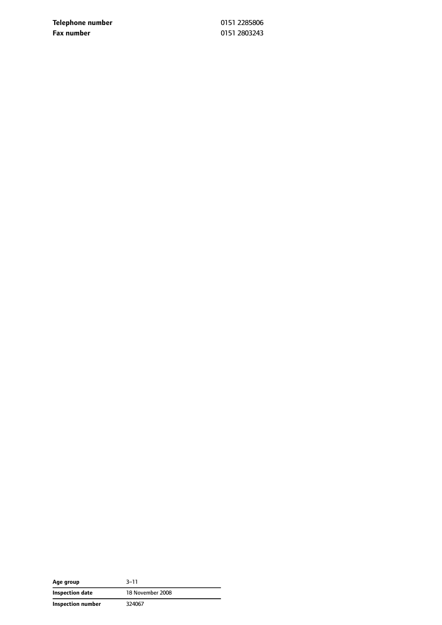**Telephone number** 0151 2285806 **Fax number** 0151 2803243

| Age group         | $3 - 11$         |
|-------------------|------------------|
| Inspection date   | 18 November 2008 |
| Inspection number | 324067           |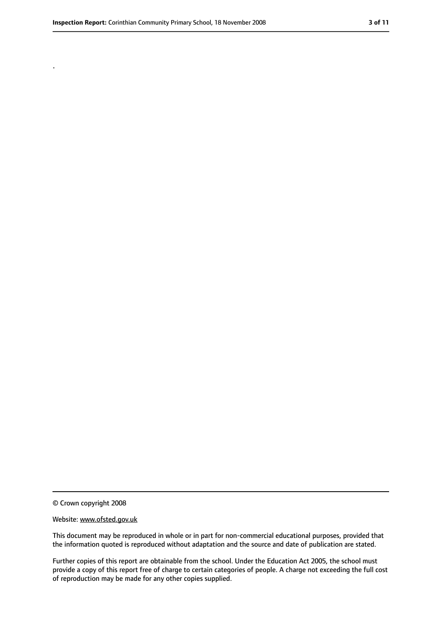.

<sup>©</sup> Crown copyright 2008

Website: www.ofsted.gov.uk

This document may be reproduced in whole or in part for non-commercial educational purposes, provided that the information quoted is reproduced without adaptation and the source and date of publication are stated.

Further copies of this report are obtainable from the school. Under the Education Act 2005, the school must provide a copy of this report free of charge to certain categories of people. A charge not exceeding the full cost of reproduction may be made for any other copies supplied.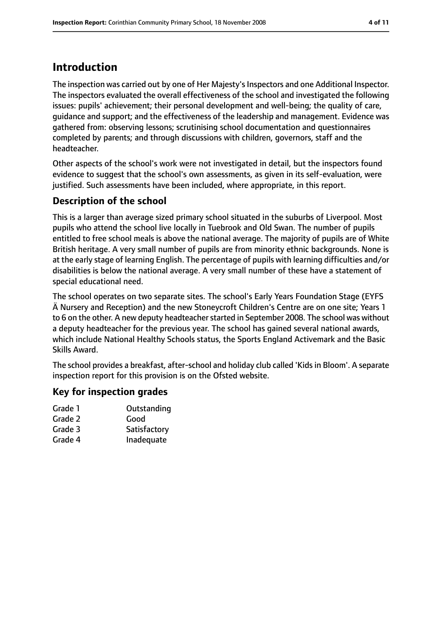# **Introduction**

The inspection was carried out by one of Her Majesty's Inspectors and one Additional Inspector. The inspectors evaluated the overall effectiveness of the school and investigated the following issues: pupils' achievement; their personal development and well-being; the quality of care, guidance and support; and the effectiveness of the leadership and management. Evidence was gathered from: observing lessons; scrutinising school documentation and questionnaires completed by parents; and through discussions with children, governors, staff and the headteacher.

Other aspects of the school's work were not investigated in detail, but the inspectors found evidence to suggest that the school's own assessments, as given in its self-evaluation, were justified. Such assessments have been included, where appropriate, in this report.

### **Description of the school**

This is a larger than average sized primary school situated in the suburbs of Liverpool. Most pupils who attend the school live locally in Tuebrook and Old Swan. The number of pupils entitled to free school meals is above the national average. The majority of pupils are of White British heritage. A very small number of pupils are from minority ethnic backgrounds. None is at the early stage of learning English. The percentage of pupils with learning difficulties and/or disabilities is below the national average. A very small number of these have a statement of special educational need.

The school operates on two separate sites. The school's Early Years Foundation Stage (EYFS Ä Nursery and Reception) and the new Stoneycroft Children's Centre are on one site; Years 1 to 6 on the other. A new deputy headteacher started in September 2008. The school was without a deputy headteacher for the previous year. The school has gained several national awards, which include National Healthy Schools status, the Sports England Activemark and the Basic Skills Award.

The school provides a breakfast, after-school and holiday club called 'Kids in Bloom'. A separate inspection report for this provision is on the Ofsted website.

#### **Key for inspection grades**

| Grade 1 | Outstanding  |
|---------|--------------|
| Grade 2 | Good         |
| Grade 3 | Satisfactory |
| Grade 4 | Inadequate   |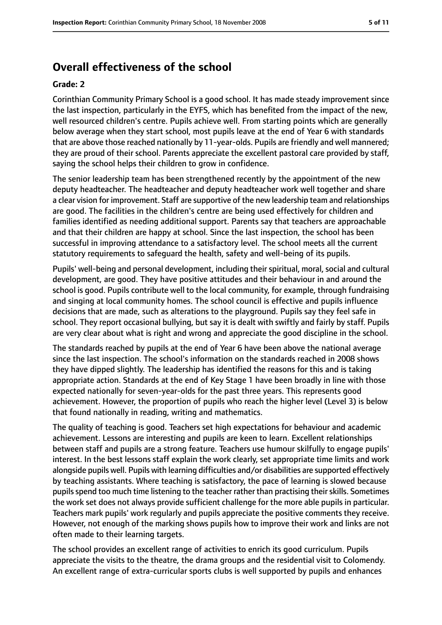## **Overall effectiveness of the school**

#### **Grade: 2**

Corinthian Community Primary School is a good school. It has made steady improvement since the last inspection, particularly in the EYFS, which has benefited from the impact of the new, well resourced children's centre. Pupils achieve well. From starting points which are generally below average when they start school, most pupils leave at the end of Year 6 with standards that are above those reached nationally by 11-year-olds. Pupils are friendly and well mannered; they are proud of their school. Parents appreciate the excellent pastoral care provided by staff, saying the school helps their children to grow in confidence.

The senior leadership team has been strengthened recently by the appointment of the new deputy headteacher. The headteacher and deputy headteacher work well together and share a clear vision for improvement. Staff are supportive of the new leadership team and relationships are good. The facilities in the children's centre are being used effectively for children and families identified as needing additional support. Parents say that teachers are approachable and that their children are happy at school. Since the last inspection, the school has been successful in improving attendance to a satisfactory level. The school meets all the current statutory requirements to safeguard the health, safety and well-being of its pupils.

Pupils' well-being and personal development, including their spiritual, moral, social and cultural development, are good. They have positive attitudes and their behaviour in and around the school is good. Pupils contribute well to the local community, for example, through fundraising and singing at local community homes. The school council is effective and pupils influence decisions that are made, such as alterations to the playground. Pupils say they feel safe in school. They report occasional bullying, but say it is dealt with swiftly and fairly by staff. Pupils are very clear about what is right and wrong and appreciate the good discipline in the school.

The standards reached by pupils at the end of Year 6 have been above the national average since the last inspection. The school's information on the standards reached in 2008 shows they have dipped slightly. The leadership has identified the reasons for this and is taking appropriate action. Standards at the end of Key Stage 1 have been broadly in line with those expected nationally for seven-year-olds for the past three years. This represents good achievement. However, the proportion of pupils who reach the higher level (Level 3) is below that found nationally in reading, writing and mathematics.

The quality of teaching is good. Teachers set high expectations for behaviour and academic achievement. Lessons are interesting and pupils are keen to learn. Excellent relationships between staff and pupils are a strong feature. Teachers use humour skilfully to engage pupils' interest. In the best lessons staff explain the work clearly, set appropriate time limits and work alongside pupils well. Pupils with learning difficulties and/or disabilities are supported effectively by teaching assistants. Where teaching is satisfactory, the pace of learning is slowed because pupils spend too much time listening to the teacher rather than practising their skills. Sometimes the work set does not always provide sufficient challenge for the more able pupils in particular. Teachers mark pupils' work regularly and pupils appreciate the positive comments they receive. However, not enough of the marking shows pupils how to improve their work and links are not often made to their learning targets.

The school provides an excellent range of activities to enrich its good curriculum. Pupils appreciate the visits to the theatre, the drama groups and the residential visit to Colomendy. An excellent range of extra-curricular sports clubs is well supported by pupils and enhances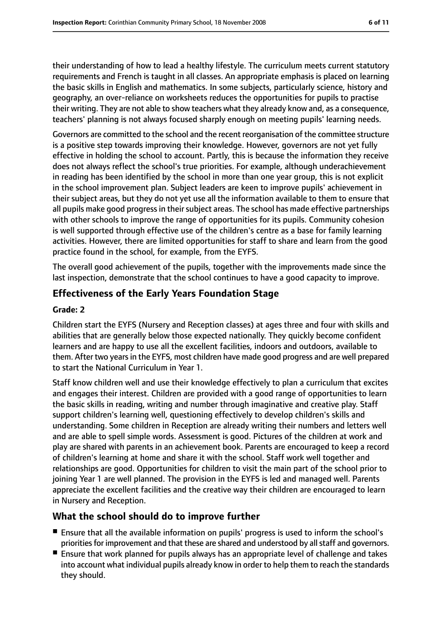their understanding of how to lead a healthy lifestyle. The curriculum meets current statutory requirements and French is taught in all classes. An appropriate emphasis is placed on learning the basic skills in English and mathematics. In some subjects, particularly science, history and geography, an over-reliance on worksheets reduces the opportunities for pupils to practise their writing. They are not able to show teachers what they already know and, as a consequence, teachers' planning is not always focused sharply enough on meeting pupils' learning needs.

Governors are committed to the school and the recent reorganisation of the committee structure is a positive step towards improving their knowledge. However, governors are not yet fully effective in holding the school to account. Partly, this is because the information they receive does not always reflect the school's true priorities. For example, although underachievement in reading has been identified by the school in more than one year group, this is not explicit in the school improvement plan. Subject leaders are keen to improve pupils' achievement in their subject areas, but they do not yet use all the information available to them to ensure that all pupils make good progress in their subject areas. The school has made effective partnerships with other schools to improve the range of opportunities for its pupils. Community cohesion is well supported through effective use of the children's centre as a base for family learning activities. However, there are limited opportunities for staff to share and learn from the good practice found in the school, for example, from the EYFS.

The overall good achievement of the pupils, together with the improvements made since the last inspection, demonstrate that the school continues to have a good capacity to improve.

#### **Effectiveness of the Early Years Foundation Stage**

#### **Grade: 2**

Children start the EYFS (Nursery and Reception classes) at ages three and four with skills and abilities that are generally below those expected nationally. They quickly become confident learners and are happy to use all the excellent facilities, indoors and outdoors, available to them. After two yearsin the EYFS, most children have made good progress and are well prepared to start the National Curriculum in Year 1.

Staff know children well and use their knowledge effectively to plan a curriculum that excites and engages their interest. Children are provided with a good range of opportunities to learn the basic skills in reading, writing and number through imaginative and creative play. Staff support children's learning well, questioning effectively to develop children's skills and understanding. Some children in Reception are already writing their numbers and letters well and are able to spell simple words. Assessment is good. Pictures of the children at work and play are shared with parents in an achievement book. Parents are encouraged to keep a record of children's learning at home and share it with the school. Staff work well together and relationships are good. Opportunities for children to visit the main part of the school prior to joining Year 1 are well planned. The provision in the EYFS is led and managed well. Parents appreciate the excellent facilities and the creative way their children are encouraged to learn in Nursery and Reception.

#### **What the school should do to improve further**

- Ensure that all the available information on pupils' progress is used to inform the school's priorities for improvement and that these are shared and understood by all staff and governors.
- Ensure that work planned for pupils always has an appropriate level of challenge and takes into account what individual pupils already know in order to help them to reach the standards they should.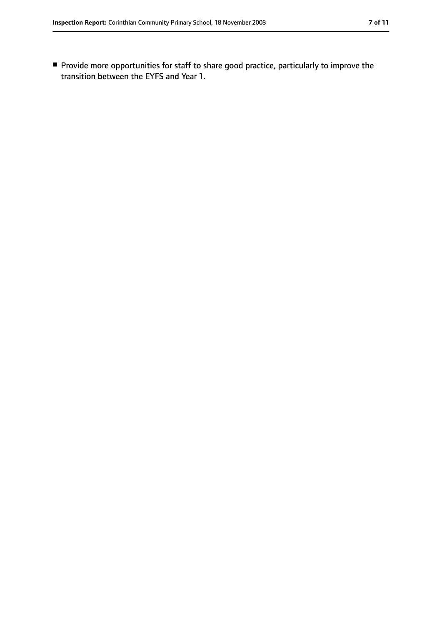■ Provide more opportunities for staff to share good practice, particularly to improve the transition between the EYFS and Year 1.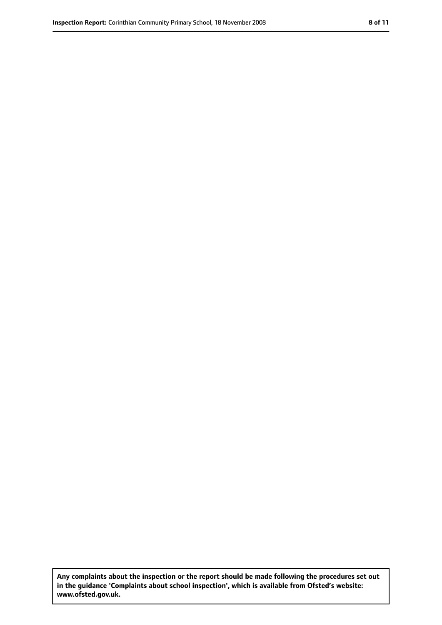**Any complaints about the inspection or the report should be made following the procedures set out in the guidance 'Complaints about school inspection', which is available from Ofsted's website: www.ofsted.gov.uk.**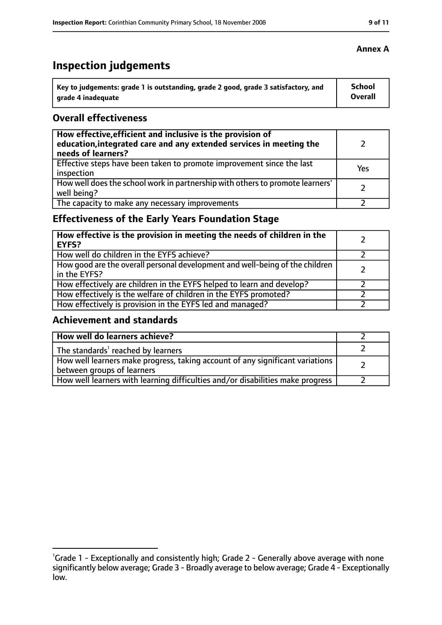# **Inspection judgements**

| Key to judgements: grade 1 is outstanding, grade 2 good, grade 3 satisfactory, and | <b>School</b> |
|------------------------------------------------------------------------------------|---------------|
| arade 4 inadequate                                                                 | Overall       |

#### **Overall effectiveness**

| How effective, efficient and inclusive is the provision of<br>education, integrated care and any extended services in meeting the<br>needs of learners? |     |
|---------------------------------------------------------------------------------------------------------------------------------------------------------|-----|
| Effective steps have been taken to promote improvement since the last<br>inspection                                                                     | Yes |
| How well does the school work in partnership with others to promote learners'<br>well being?                                                            |     |
| The capacity to make any necessary improvements                                                                                                         |     |

### **Effectiveness of the Early Years Foundation Stage**

| How effective is the provision in meeting the needs of children in the<br><b>EYFS?</b>       |  |
|----------------------------------------------------------------------------------------------|--|
| How well do children in the EYFS achieve?                                                    |  |
| How good are the overall personal development and well-being of the children<br>in the EYFS? |  |
| How effectively are children in the EYFS helped to learn and develop?                        |  |
| How effectively is the welfare of children in the EYFS promoted?                             |  |
| How effectively is provision in the EYFS led and managed?                                    |  |

#### **Achievement and standards**

| How well do learners achieve?                                                                               |  |
|-------------------------------------------------------------------------------------------------------------|--|
| The standards <sup>1</sup> reached by learners                                                              |  |
| How well learners make progress, taking account of any significant variations<br>between groups of learners |  |
| How well learners with learning difficulties and/or disabilities make progress                              |  |

<sup>&</sup>lt;sup>1</sup>Grade 1 - Exceptionally and consistently high; Grade 2 - Generally above average with none significantly below average; Grade 3 - Broadly average to below average; Grade 4 - Exceptionally low.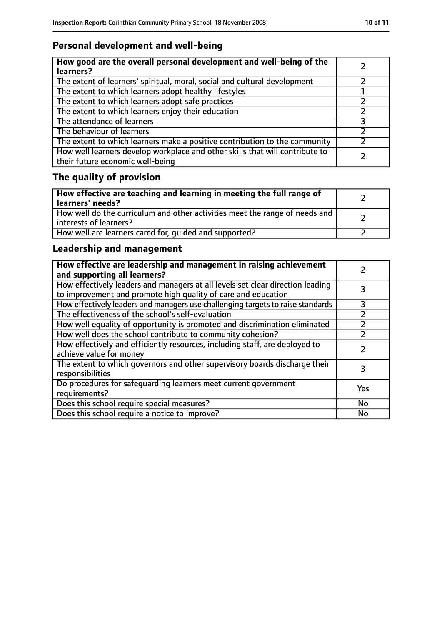### **Personal development and well-being**

| How good are the overall personal development and well-being of the<br>learners?                                 |  |
|------------------------------------------------------------------------------------------------------------------|--|
| The extent of learners' spiritual, moral, social and cultural development                                        |  |
| The extent to which learners adopt healthy lifestyles                                                            |  |
| The extent to which learners adopt safe practices                                                                |  |
| The extent to which learners enjoy their education                                                               |  |
| The attendance of learners                                                                                       |  |
| The behaviour of learners                                                                                        |  |
| The extent to which learners make a positive contribution to the community                                       |  |
| How well learners develop workplace and other skills that will contribute to<br>their future economic well-being |  |

# **The quality of provision**

| How effective are teaching and learning in meeting the full range of<br>learners' needs?              |  |
|-------------------------------------------------------------------------------------------------------|--|
| How well do the curriculum and other activities meet the range of needs and<br>interests of learners? |  |
| How well are learners cared for, quided and supported?                                                |  |

### **Leadership and management**

| How effective are leadership and management in raising achievement<br>and supporting all learners?                                              |     |
|-------------------------------------------------------------------------------------------------------------------------------------------------|-----|
| How effectively leaders and managers at all levels set clear direction leading<br>to improvement and promote high quality of care and education |     |
| How effectively leaders and managers use challenging targets to raise standards                                                                 | 3   |
| The effectiveness of the school's self-evaluation                                                                                               |     |
| How well equality of opportunity is promoted and discrimination eliminated                                                                      |     |
| How well does the school contribute to community cohesion?                                                                                      |     |
| How effectively and efficiently resources, including staff, are deployed to<br>achieve value for money                                          |     |
| The extent to which governors and other supervisory boards discharge their<br>responsibilities                                                  | 3   |
| Do procedures for safequarding learners meet current government<br>requirements?                                                                | Yes |
| Does this school require special measures?                                                                                                      | No  |
| Does this school require a notice to improve?                                                                                                   | No  |